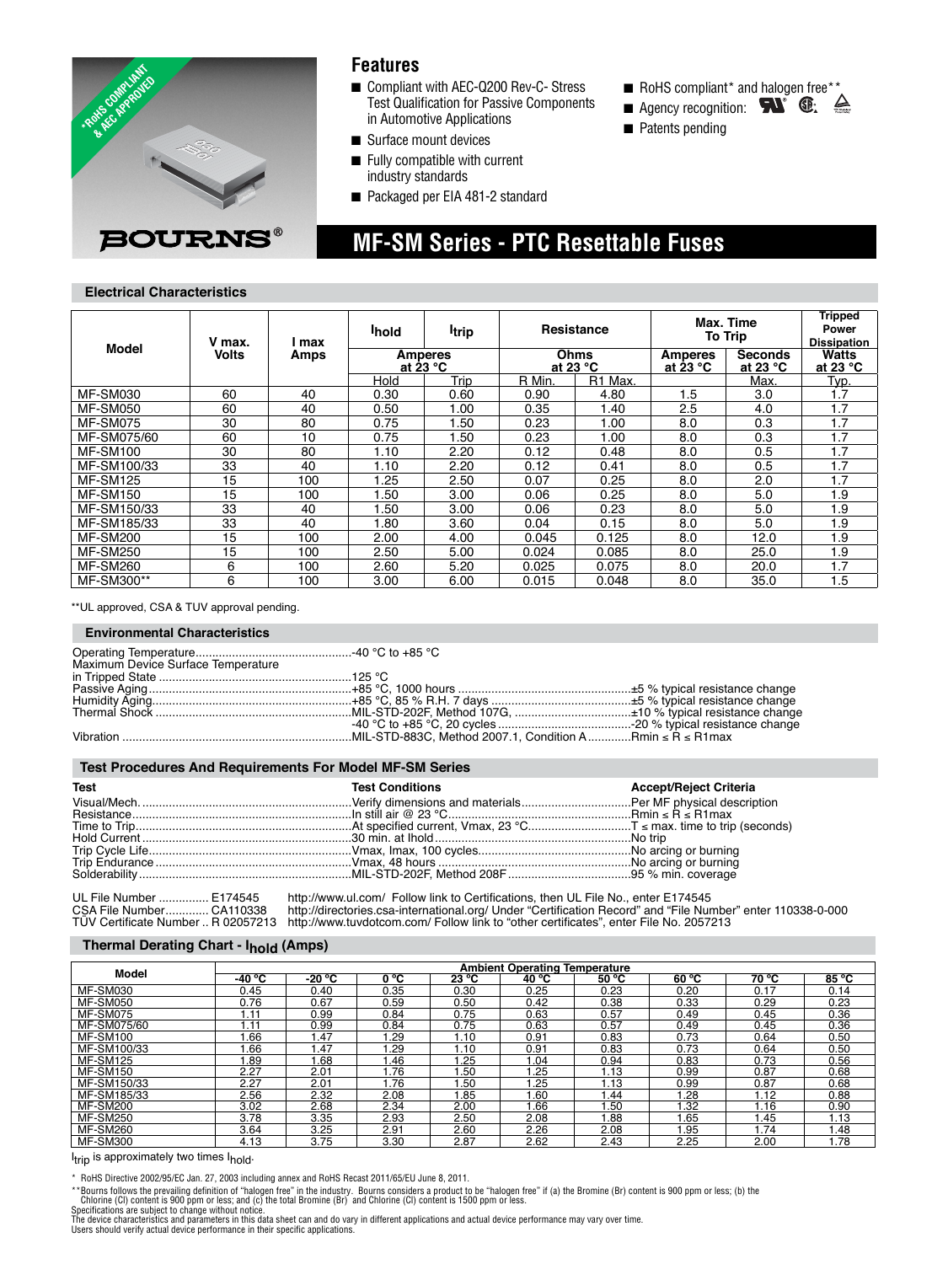

### **Features**

■ Compliant with AEC-Q200 Rev-C- Stress Test Qualification for Passive Components in Automotive Applications

 **MF-SM Series - PTC Resettable Fuses**

- Surface mount devices
- Fully compatible with current industry standards
- Packaged per EIA 481-2 standard
- RoHS compliant\* and halogen free\*\*
- Agency recognition: 6. 全
- Patents pending

**Electrical Characteristics**

|                 | V max.<br><b>Volts</b> | l max<br>Amps | <b>I</b> hold                        | <b>Itrip</b> |                            | <b>Resistance</b> | Max. Time<br><b>To Trip</b>                                                  |      | <b>Tripped</b><br>Power<br><b>Dissipation</b> |
|-----------------|------------------------|---------------|--------------------------------------|--------------|----------------------------|-------------------|------------------------------------------------------------------------------|------|-----------------------------------------------|
| Model           |                        |               | <b>Amperes</b><br>at 23 $^{\circ}$ C |              | Ohms<br>at 23 $^{\circ}$ C |                   | <b>Seconds</b><br><b>Amperes</b><br>at 23 $^{\circ}$ C<br>at 23 $^{\circ}$ C |      | Watts<br>at 23 $^{\circ}$ C                   |
|                 |                        |               | Hold                                 | Trip         | R Min.                     | R1 Max.           |                                                                              | Max. | Typ.                                          |
| <b>MF-SM030</b> | 60                     | 40            | 0.30                                 | 0.60         | 0.90                       | 4.80              | 1.5                                                                          | 3.0  | Í.7                                           |
| <b>MF-SM050</b> | 60                     | 40            | 0.50                                 | 1.00         | 0.35                       | 1.40              | 2.5                                                                          | 4.0  | 1.7                                           |
| <b>MF-SM075</b> | 30                     | 80            | 0.75                                 | .50          | 0.23                       | 1.00              | 8.0                                                                          | 0.3  | 1.7                                           |
| MF-SM075/60     | 60                     | 10            | 0.75                                 | .50          | 0.23                       | 1.00              | 8.0                                                                          | 0.3  | 1.7                                           |
| <b>MF-SM100</b> | 30                     | 80            | 1.10                                 | 2.20         | 0.12                       | 0.48              | 8.0                                                                          | 0.5  | 1.7                                           |
| MF-SM100/33     | 33                     | 40            | 1.10                                 | 2.20         | 0.12                       | 0.41              | 8.0                                                                          | 0.5  | 1.7                                           |
| <b>MF-SM125</b> | 15                     | 100           | 1.25                                 | 2.50         | 0.07                       | 0.25              | 8.0                                                                          | 2.0  | 1.7                                           |
| <b>MF-SM150</b> | 15                     | 100           | 1.50                                 | 3.00         | 0.06                       | 0.25              | 8.0                                                                          | 5.0  | 1.9                                           |
| MF-SM150/33     | 33                     | 40            | 1.50                                 | 3.00         | 0.06                       | 0.23              | 8.0                                                                          | 5.0  | 1.9                                           |
| MF-SM185/33     | 33                     | 40            | 1.80                                 | 3.60         | 0.04                       | 0.15              | 8.0                                                                          | 5.0  | 1.9                                           |
| <b>MF-SM200</b> | 15                     | 100           | 2.00                                 | 4.00         | 0.045                      | 0.125             | 8.0                                                                          | 12.0 | 1.9                                           |
| <b>MF-SM250</b> | 15                     | 100           | 2.50                                 | 5.00         | 0.024                      | 0.085             | 8.0                                                                          | 25.0 | 1.9                                           |
| <b>MF-SM260</b> | 6                      | 100           | 2.60                                 | 5.20         | 0.025                      | 0.075             | 8.0                                                                          | 20.0 | 1.7                                           |
| MF-SM300**      | 6                      | 100           | 3.00                                 | 6.00         | 0.015                      | 0.048             | 8.0                                                                          | 35.0 | 1.5                                           |

\*\*UL approved, CSA & TUV approval pending.

#### **Environmental Characteristics**

| Maximum Device Surface Temperature |  |
|------------------------------------|--|
|                                    |  |
|                                    |  |
|                                    |  |
|                                    |  |
|                                    |  |
|                                    |  |
|                                    |  |

#### **Test Procedures And Requirements For Model MF-SM Series**

| Test | <b>Test Conditions</b> | <b>Accept/Reject Criteria</b> |
|------|------------------------|-------------------------------|
|      |                        |                               |
|      |                        |                               |
|      |                        |                               |
|      |                        |                               |
|      |                        |                               |
|      |                        |                               |
|      |                        |                               |

UL File Number …………… E174545 http://www.ul.com/\_Follow link to Certifications, then UL File No., enter E174545<br>CSA File Number…………. CA110338 http://directories.csa-international.org/ Under "Certification Record" and "Fi TÜV Certificate Number .. R 02057213 http://www.tuvdotcom.com/ Follow link to "other certificates", enter File No. 2057213

#### **Thermal Derating Chart - Ihold (Amps)**

|                 | <b>Ambient Operating Temperature</b> |          |              |       |       |       |       |       |            |  |  |  |
|-----------------|--------------------------------------|----------|--------------|-------|-------|-------|-------|-------|------------|--|--|--|
| Model           | $-40 °C$                             | $-20 °C$ | $0^{\circ}C$ | 23 °C | 40 °C | 50 °C | 60 °C | 70 °C | 85 °C      |  |  |  |
| <b>MF-SM030</b> | 0.45                                 | 0.40     | 0.35         | 0.30  | 0.25  | 0.23  | 0.20  | 0.17  | 0.14       |  |  |  |
| <b>MF-SM050</b> | 0.76                                 | 0.67     | 0.59         | 0.50  | 0.42  | 0.38  | 0.33  | 0.29  | 0.23       |  |  |  |
| MF-SM075        | 1.11                                 | 0.99     | 0.84         | 0.75  | 0.63  | 0.57  | 0.49  | 0.45  | 0.36       |  |  |  |
| MF-SM075/60     | 1.11                                 | 0.99     | 0.84         | 0.75  | 0.63  | 0.57  | 0.49  | 0.45  | 0.36       |  |  |  |
| <b>MF-SM100</b> | .66                                  | .47      | .29          | 1.10  | 0.91  | 0.83  | 0.73  | 0.64  | 0.50       |  |  |  |
| MF-SM100/33     | .66                                  | .47      | .29          | 1.10  | 0.91  | 0.83  | 0.73  | 0.64  | 0.50       |  |  |  |
| <b>MF-SM125</b> | .89                                  | .68      | .46          | .25   | 1.04  | 0.94  | 0.83  | 0.73  | 0.56       |  |  |  |
| <b>MF-SM150</b> | 2.27                                 | 2.01     | .76          | .50   | l.25  | ∣.13  | 0.99  | 0.87  | 0.68       |  |  |  |
| MF-SM150/33     | 2.27                                 | 2.01     | .76          | .50   | l.25  | l.13  | 0.99  | 0.87  | 0.68       |  |  |  |
| MF-SM185/33     | 2.56                                 | 2.32     | 2.08         | 1.85  | 1.60  | .44   | 1.28  | 1.12  | 0.88       |  |  |  |
| <b>MF-SM200</b> | 3.02                                 | 2.68     | 2.34         | 2.00  | 1.66  | .50   | 1.32  | 1.16  | 0.90       |  |  |  |
| <b>MF-SM250</b> | 3.78                                 | 3.35     | 2.93         | 2.50  | 2.08  | .88   | l.65  | l.45  | 1.13       |  |  |  |
| <b>MF-SM260</b> | 3.64                                 | 3.25     | 2.91         | 2.60  | 2.26  | 2.08  | 1.95  | 1.74  | <b>.48</b> |  |  |  |
| <b>MF-SM300</b> | 4.13                                 | 3.75     | 3.30         | 2.87  | 2.62  | 2.43  | 2.25  | 2.00  | . 78       |  |  |  |

I<sub>trip</sub> is approximately two times I<sub>hold</sub>.

\* RoHS Directive 2002/95/EC Jan. 27, 2003 including annex and RoHS Recast 2011/65/EU June 8, 2011.

\* "Bourns follows the prevailing definition of "halogen free" in the industry. Bourns considers a product to be "halogen free" if (a) the Bromine (Br) content is 900 ppm or less; (b) the<br>Specifications are subject to chang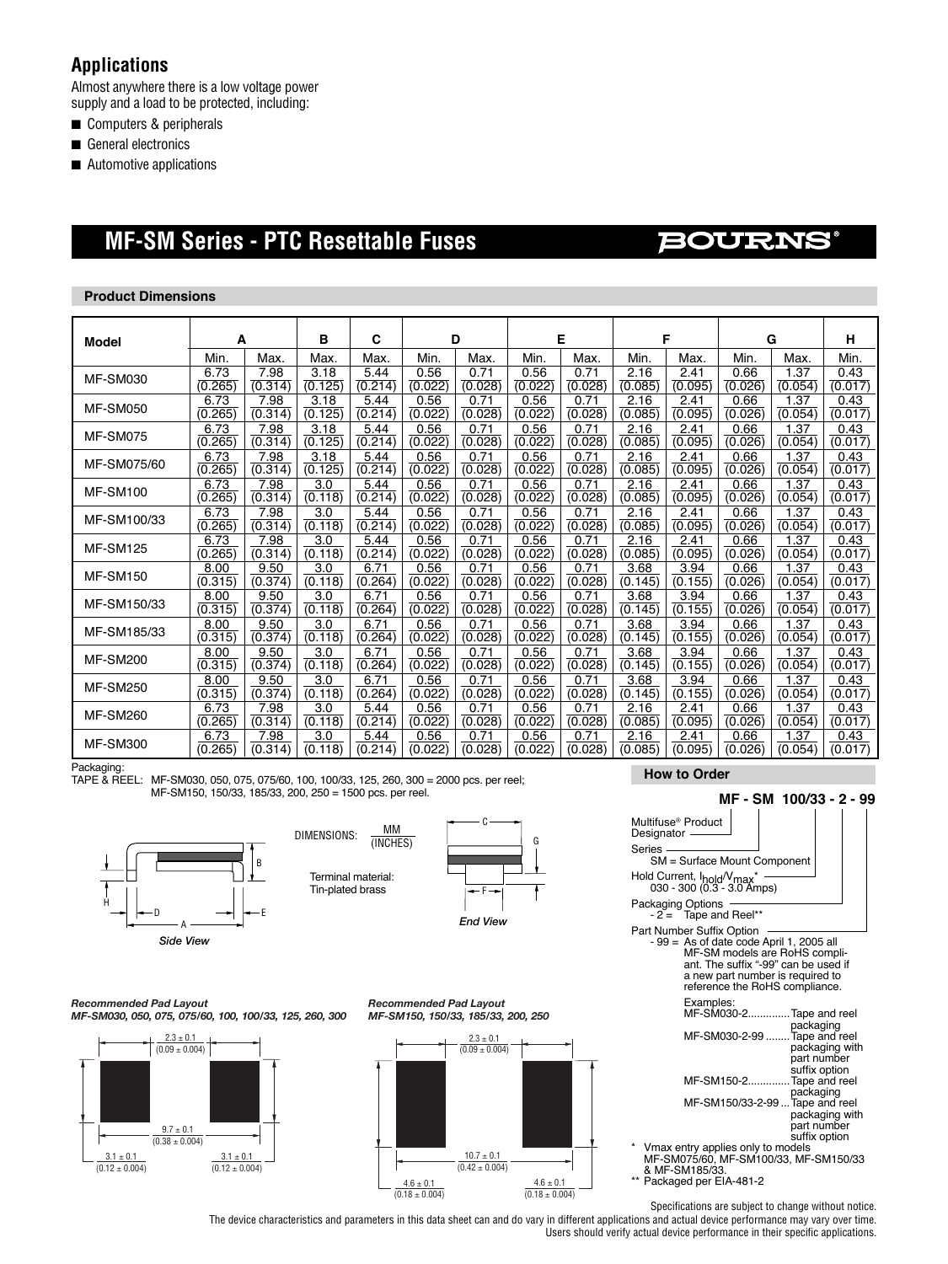### **Applications**

Almost anywhere there is a low voltage power supply and a load to be protected, including:

- Computers & peripherals
- General electronics
- Automotive applications

# **MF-SM Series - PTC Resettable Fuses**

## BOURNS

#### **Product Dimensions**

| Model           | A       |         | в       | C       |         | D       |         | Е       |         | F       |         | G       | н       |
|-----------------|---------|---------|---------|---------|---------|---------|---------|---------|---------|---------|---------|---------|---------|
|                 | Min.    | Max.    | Max.    | Max.    | Min.    | Max.    | Min.    | Max.    | Min.    | Max.    | Min.    | Max.    | Min.    |
| <b>MF-SM030</b> | 6.73    | 7.98    | 3.18    | 5.44    | 0.56    | 0.71    | 0.56    | 0.71    | 2.16    | 2.41    | 0.66    | 1.37    | 0.43    |
|                 | (0.265) | (0.314) | (0.125) | (0.214) | (0.022) | (0.028) | (0.022) | (0.028) | (0.085) | (0.095) | (0.026) | (0.054) | (0.017) |
| <b>MF-SM050</b> | 6.73    | 7.98    | 3.18    | 5.44    | 0.56    | 0.71    | 0.56    | 0.71    | 2.16    | 2.41    | 0.66    | 1.37    | 0.43    |
|                 | (0.265) | (0.314) | (0.125) | (0.214) | (0.022) | (0.028) | (0.022) | (0.028) | (0.085) | (0.095) | (0.026) | (0.054) | (0.017) |
| MF-SM075        | 6.73    | 7.98    | 3.18    | 5.44    | 0.56    | 0.71    | 0.56    | 0.71    | 2.16    | 2.41    | 0.66    | 1.37    | 0.43    |
|                 | (0.265) | (0.314) | (0.125) | (0.214) | (0.022) | (0.028) | (0.022) | (0.028) | (0.085) | (0.095) | (0.026) | (0.054) | (0.017) |
| MF-SM075/60     | 6.73    | 7.98    | 3.18    | 5.44    | 0.56    | 0.71    | 0.56    | 0.71    | 2.16    | 2.41    | 0.66    | 1.37    | 0.43    |
|                 | (0.265) | (0.314) | (0.125) | (0.214) | (0.022) | (0.028) | (0.022) | (0.028) | (0.085) | (0.095) | (0.026) | (0.054) | (0.017) |
| <b>MF-SM100</b> | 6.73    | 7.98    | 3.0     | 5.44    | 0.56    | 0.71    | 0.56    | 0.71    | 2.16    | 2.41    | 0.66    | 1.37    | 0.43    |
|                 | (0.265) | (0.314) | (0.118) | (0.214) | (0.022) | (0.028) | (0.022) | (0.028) | (0.085) | (0.095) | (0.026) | (0.054) | (0.017) |
| MF-SM100/33     | 6.73    | 7.98    | 3.0     | 5.44    | 0.56    | 0.71    | 0.56    | 0.71    | 2.16    | 2.41    | 0.66    | 1.37    | 0.43    |
|                 | (0.265) | (0.314) | (0.118) | (0.214) | (0.022) | (0.028) | (0.022) | (0.028) | (0.085) | (0.095) | (0.026) | (0.054) | (0.017) |
| <b>MF-SM125</b> | 6.73    | 7.98    | 3.0     | 5.44    | 0.56    | 0.71    | 0.56    | 0.71    | 2.16    | 2.41    | 0.66    | 1.37    | 0.43    |
|                 | (0.265) | (0.314) | (0.118) | (0.214) | (0.022) | (0.028) | (0.022) | (0.028) | (0.085) | (0.095) | (0.026) | (0.054) | (0.017) |
| <b>MF-SM150</b> | 8.00    | 9.50    | 3.0     | 6.71    | 0.56    | 0.71    | 0.56    | 0.71    | 3.68    | 3.94    | 0.66    | 1.37    | 0.43    |
|                 | (0.315) | (0.374) | (0.118) | (0.264) | (0.022) | (0.028) | (0.022) | (0.028) | (0.145) | (0.155) | (0.026) | (0.054) | (0.017) |
| MF-SM150/33     | 8.00    | 9.50    | 3.0     | 6.71    | 0.56    | 0.71    | 0.56    | 0.71    | 3.68    | 3.94    | 0.66    | 1.37    | 0.43    |
|                 | (0.315) | (0.374) | (0.118) | (0.264) | (0.022) | (0.028) | (0.022) | (0.028) | (0.145) | (0.155) | (0.026) | (0.054) | (0.017) |
| MF-SM185/33     | 8.00    | 9.50    | 3.0     | 6.71    | 0.56    | 0.71    | 0.56    | 0.71    | 3.68    | 3.94    | 0.66    | 1.37    | 0.43    |
|                 | (0.315) | (0.374) | (0.118) | (0.264) | (0.022) | (0.028) | (0.022) | (0.028) | (0.145) | (0.155) | (0.026) | (0.054) | (0.017) |
| <b>MF-SM200</b> | 8.00    | 9.50    | 3.0     | 6.71    | 0.56    | 0.71    | 0.56    | 0.71    | 3.68    | 3.94    | 0.66    | 1.37    | 0.43    |
|                 | (0.315) | (0.374) | (0.118) | (0.264) | (0.022) | (0.028) | (0.022) | (0.028) | (0.145) | (0.155) | (0.026) | (0.054) | (0.017) |
| <b>MF-SM250</b> | 8.00    | 9.50    | 3.0     | 6.71    | 0.56    | 0.71    | 0.56    | 0.71    | 3.68    | 3.94    | 0.66    | 1.37    | 0.43    |
|                 | (0.315) | (0.374) | (0.118) | (0.264) | (0.022) | (0.028) | (0.022) | (0.028) | (0.145) | (0.155) | (0.026) | (0.054) | (0.017) |
| <b>MF-SM260</b> | 6.73    | 7.98    | 3.0     | 5.44    | 0.56    | 0.71    | 0.56    | 0.71    | 2.16    | 2.41    | 0.66    | 1.37    | 0.43    |
|                 | (0.265) | (0.314) | (0.118) | (0.214) | (0.022) | (0.028) | (0.022) | (0.028) | (0.085) | (0.095) | (0.026) | (0.054) | (0.017) |
| <b>MF-SM300</b> | 6.73    | 7.98    | 3.0     | 5.44    | 0.56    | 0.71    | 0.56    | 0.71    | 2.16    | 2.41    | 0.66    | 1.37    | 0.43    |
|                 | (0.265) | (0.314) | (0.118) | (0.214) | (0.022) | (0.028) | (0.022) | (0.028) | (0.085) | (0.095) | (0.026) | (0.054) | (0.017) |

Packaging:

TAPE & REEL: MF-SM030, 050, 075, 075/60, 100, 100/33, 125, 260, 300 = 2000 pcs. per reel; MF-SM150, 150/33, 185/33, 200, 250 = 1500 pcs. per reel.



 (INCHES) Terminal material: Tin-plated brass



*Recommended Pad Layout MF-SM030, 050, 075, 075/60, 100, 100/33, 125, 260, 300*



*Recommended Pad Layout MF-SM150, 150/33, 185/33, 200, 250*



 **MF - SM 100/33 - 2 - 99** Multifuse® Product **Designator** Series SM = Surface Mount Component Hold Current, I<sub>hold</sub>/V<sub>max</sub>\* ---<br>030 - 300 (0.3 - 3.0 Amps) Packaging Options - 2 = Tape and Reel\*\* Part Number Suffix Option - 99 = As of date code April 1, 2005 all MF-SM models are RoHS compli-<br>ant. The suffix "-99" can be used if a new part number is required to reference the RoHS compliance. Examples: MF-SM030-2..............Tape and reel packaging<br>Tape and reel MF-SM030-2-99 ....... packaging with part number suffix option<br>ME-SM150-2 Tape and rea Tape and reel packaging MF-SM150/33-2-99 ...Tape and reel packaging with part number<br>suffix option suffix option<br>\* Vmax entry applies only to models<br>MF-SM075/60, MF-SM100/33, MF-SM150/33 & MF-SM185/33. \*\* Packaged per EIA-481-2

Specifications are subject to change without notice. The device characteristics and parameters in this data sheet can and do vary in different applications and actual device performance may vary over time. Users should verify actual device performance in their specific applications.

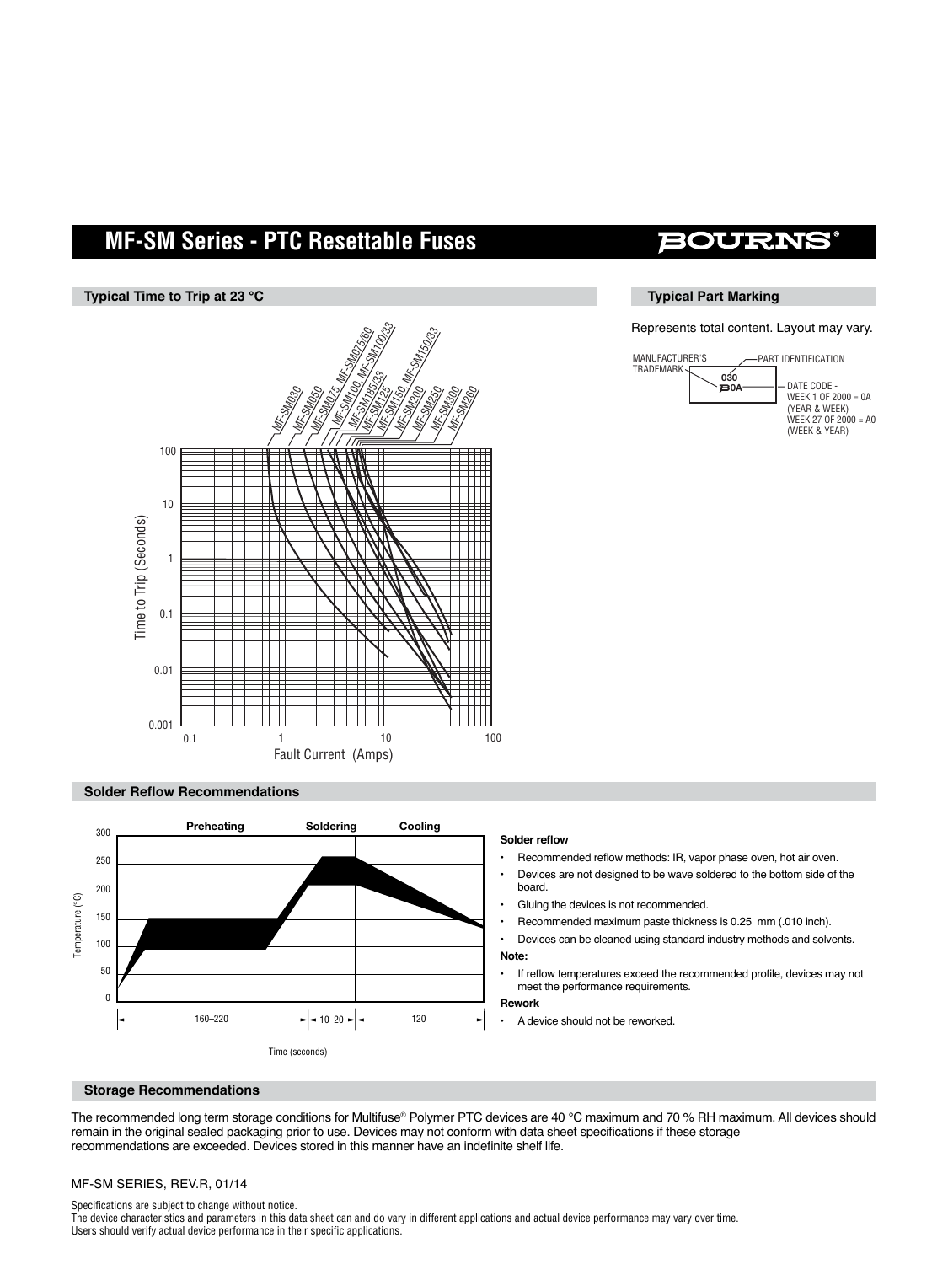# **MF-SM Series - PTC Resettable Fuses**

#### **Typical Time to Trip at 23 °C**



#### **Solder Reflow Recommendations**



## BOURNI

#### **Typical Part Marking**

Represents total content. Layout may vary.



#### **Solder reflow**

- Recommended reflow methods: IR, vapor phase oven, hot air oven.
- Devices are not designed to be wave soldered to the bottom side of the board.
- Gluing the devices is not recommended.
- Recommended maximum paste thickness is 0.25 mm (.010 inch).
- Devices can be cleaned using standard industry methods and solvents. **Note:**
- If reflow temperatures exceed the recommended profile, devices may not meet the performance requirements.

#### **Rework**

A device should not be reworked.

#### **Storage Recommendations**

The recommended long term storage conditions for Multifuse® Polymer PTC devices are 40 °C maximum and 70 % RH maximum. All devices should remain in the original sealed packaging prior to use. Devices may not conform with data sheet specifications if these storage recommendations are exceeded. Devices stored in this manner have an indefinite shelf life.

#### MF-SM SERIES, REV.R, 01/14

Specifications are subject to change without notice.

The device characteristics and parameters in this data sheet can and do vary in different applications and actual device performance may vary over time. Users should verify actual device performance in their specific applications.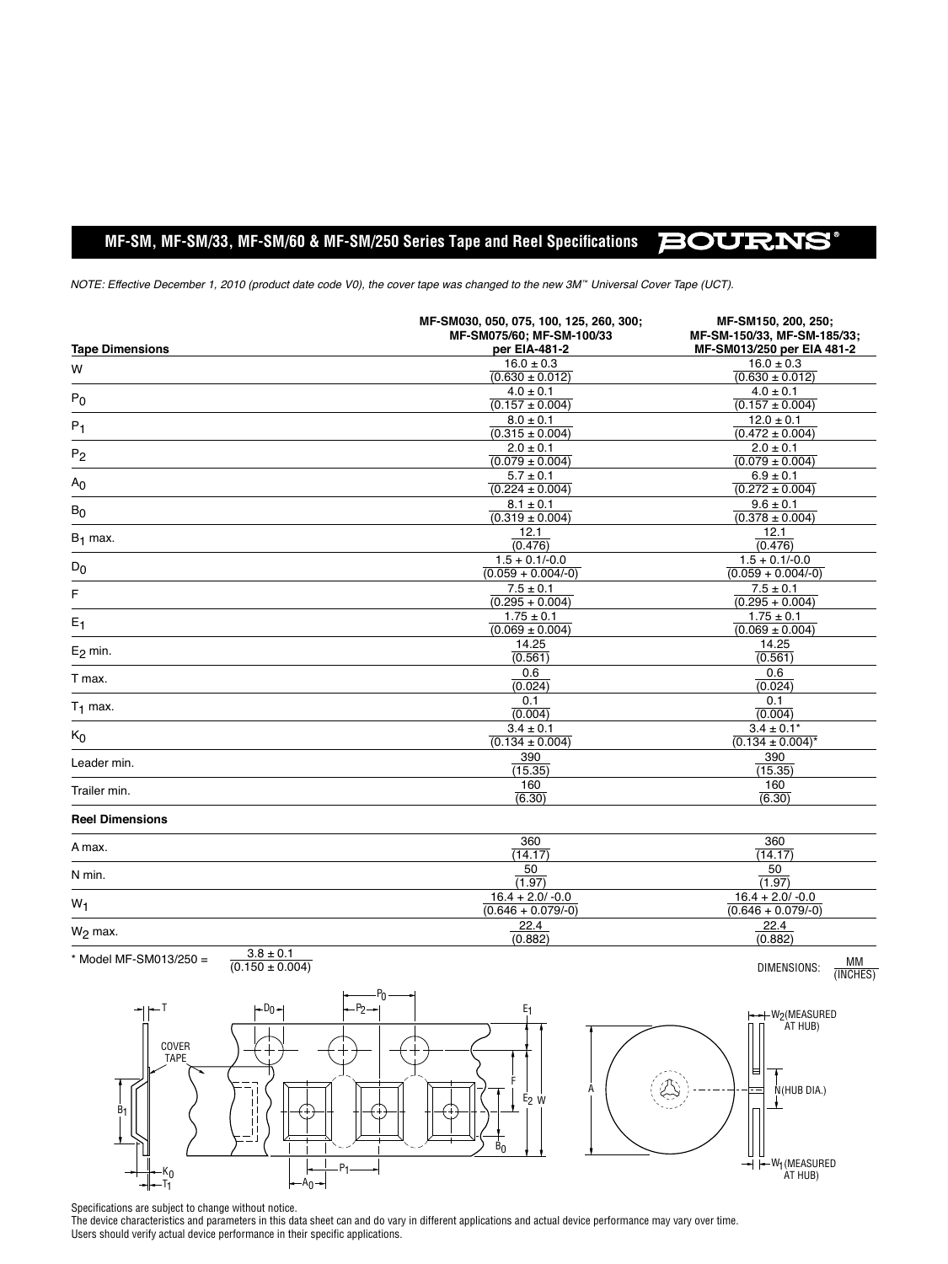### **MF-SM, MF-SM/33, MF-SM/60 & MF-SM/250 Series Tape and Reel Specifications**

**BOURNS®** 

*NOTE: Effective December 1, 2010 (product date code V0), the cover tape was changed to the new 3M™ Universal Cover Tape (UCT).*

| <b>Tape Dimensions</b> | MF-SM030, 050, 075, 100, 125, 260, 300;<br>MF-SM075/60; MF-SM-100/33<br>per EIA-481-2 | MF-SM150, 200, 250;<br>MF-SM-150/33, MF-SM-185/33;<br>MF-SM013/250 per EIA 481-2 |
|------------------------|---------------------------------------------------------------------------------------|----------------------------------------------------------------------------------|
| W                      | $16.0 \pm 0.3$                                                                        | $16.0 \pm 0.3$                                                                   |
|                        | $(0.630 \pm 0.012)$                                                                   | $(0.630 \pm 0.012)$                                                              |
| $P_0$                  | $4.0 \pm 0.1$                                                                         | $4.0 \pm 0.1$                                                                    |
|                        | $(0.157 \pm 0.004)$                                                                   | $(0.157 \pm 0.004)$                                                              |
| $P_1$                  | $8.0 \pm 0.1$                                                                         | $12.0 \pm 0.1$                                                                   |
|                        | $(0.315 \pm 0.004)$                                                                   | $(0.472 \pm 0.004)$                                                              |
| P <sub>2</sub>         | $2.0 \pm 0.1$                                                                         | $2.0 \pm 0.1$                                                                    |
|                        | $(0.079 \pm 0.004)$                                                                   | $(0.079 \pm 0.004)$                                                              |
| A <sub>0</sub>         | $5.7 \pm 0.1$                                                                         | $6.9 \pm 0.1$                                                                    |
|                        | $(0.224 \pm 0.004)$                                                                   | $(0.272 \pm 0.004)$                                                              |
| $B_0$                  | $8.1 \pm 0.1$                                                                         | $9.6 \pm 0.1$                                                                    |
|                        | $(0.319 \pm 0.004)$                                                                   | $\sqrt{(0.378 \pm 0.004)}$                                                       |
| $B_1$ max.             | 12.1                                                                                  | 12.1                                                                             |
|                        | (0.476)                                                                               | (0.476)                                                                          |
| $D_0$                  | $1.5 + 0.1/-0.0$<br>$(0.059 + 0.004/-0)$                                              | $1.5 + 0.1/-0.0$<br>$(0.059 + 0.004/-0)$                                         |
|                        | $7.5 \pm 0.1$                                                                         | $7.5 \pm 0.1$                                                                    |
| F                      | $(0.295 + 0.004)$                                                                     | $(0.295 + 0.004)$                                                                |
| $E_1$                  | $1.75 \pm 0.1$<br>$(0.069 \pm 0.004)$                                                 | $1.75 \pm 0.1$<br>$(0.069 \pm 0.004)$                                            |
|                        | 14.25                                                                                 | 14.25                                                                            |
| $E2$ min.              | (0.561)                                                                               | (0.561)                                                                          |
| T max.                 | 0.6                                                                                   | 0.6                                                                              |
|                        | (0.024)                                                                               | (0.024)                                                                          |
| $T_1$ max.             | 0.1<br>(0.004)                                                                        | 0.1<br>(0.004)                                                                   |
| $K_0$                  | $3.4 \pm 0.1$<br>$(0.134 \pm 0.004)$                                                  | $3.4 \pm 0.1^*$<br>$\sqrt{(0.134 \pm 0.004)^*}$                                  |
| Leader min.            | 390<br>(15.35)                                                                        | 390<br>(15.35)                                                                   |
| Trailer min.           | 160<br>(6.30)                                                                         | 160<br>(6.30)                                                                    |
| <b>Reel Dimensions</b> |                                                                                       |                                                                                  |
|                        | 360                                                                                   | 360                                                                              |
|                        |                                                                                       |                                                                                  |

| A max.     | 360<br>(14.17)                              | 360<br>(14.17)                              |
|------------|---------------------------------------------|---------------------------------------------|
| N min.     | $\frac{50}{(1.97)}$                         | 50<br>(1.97)                                |
| $W_1$      | $16.4 + 2.0 / -0.0$<br>$(0.646 + 0.079/-0)$ | $16.4 + 2.0 / -0.0$<br>$(0.646 + 0.079/-0)$ |
| $W_2$ max. | 22.4<br>(0.882)                             | 22.4<br>(0.882)                             |





DIMENSIONS: MM (INCHES)

Specifications are subject to change without notice.

The device characteristics and parameters in this data sheet can and do vary in different applications and actual device performance may vary over time. Users should verify actual device performance in their specific applications.